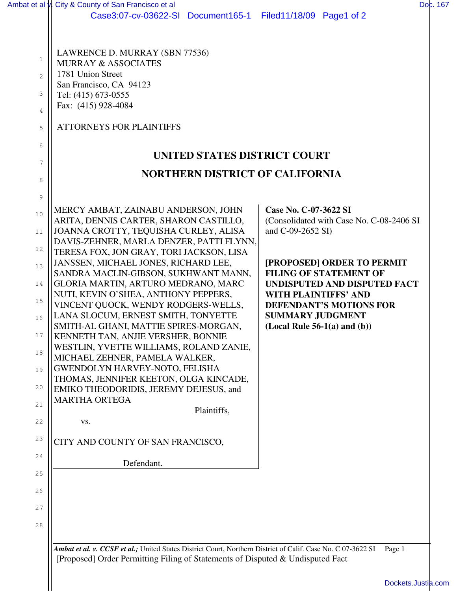|                | Ambat et al v. City & County of San Francisco et al                                                          | Dob. 167                                                          |
|----------------|--------------------------------------------------------------------------------------------------------------|-------------------------------------------------------------------|
|                | Case3:07-cv-03622-SI Document165-1                                                                           | Filed11/18/09 Page1 of 2                                          |
|                |                                                                                                              |                                                                   |
| 1              | LAWRENCE D. MURRAY (SBN 77536)<br><b>MURRAY &amp; ASSOCIATES</b>                                             |                                                                   |
| $\overline{2}$ | 1781 Union Street                                                                                            |                                                                   |
| 3              | San Francisco, CA 94123<br>Tel: (415) 673-0555                                                               |                                                                   |
| $\overline{4}$ | Fax: (415) 928-4084                                                                                          |                                                                   |
| 5              | <b>ATTORNEYS FOR PLAINTIFFS</b>                                                                              |                                                                   |
| 6              |                                                                                                              |                                                                   |
| 7              | UNITED STATES DISTRICT COURT                                                                                 |                                                                   |
| 8              | <b>NORTHERN DISTRICT OF CALIFORNIA</b>                                                                       |                                                                   |
| 9              |                                                                                                              |                                                                   |
| 10             | MERCY AMBAT, ZAINABU ANDERSON, JOHN<br>ARITA, DENNIS CARTER, SHARON CASTILLO,                                | Case No. C-07-3622 SI<br>(Consolidated with Case No. C-08-2406 SI |
| 11             | JOANNA CROTTY, TEQUISHA CURLEY, ALISA<br>DAVIS-ZEHNER, MARLA DENZER, PATTI FLYNN,                            | and C-09-2652 SI)                                                 |
| 12             | TERESA FOX, JON GRAY, TORI JACKSON, LISA                                                                     |                                                                   |
| 13             | JANSSEN, MICHAEL JONES, RICHARD LEE,<br>SANDRA MACLIN-GIBSON, SUKHWANT MANN,                                 | [PROPOSED] ORDER TO PERMIT<br><b>FILING OF STATEMENT OF</b>       |
| 14             | GLORIA MARTIN, ARTURO MEDRANO, MARC<br>NUTI, KEVIN O'SHEA, ANTHONY PEPPERS,                                  | UNDISPUTED AND DISPUTED FACT<br><b>WITH PLAINTIFFS' AND</b>       |
| 15             | VINCENT QUOCK, WENDY RODGERS-WELLS,                                                                          | <b>DEFENDANT'S MOTIONS FOR</b>                                    |
| 16             | LANA SLOCUM, ERNEST SMITH, TONYETTE<br>SMITH-AL GHANI, MATTIE SPIRES-MORGAN,                                 | <b>SUMMARY JUDGMENT</b><br>$(Local Rule 56-1(a) and (b))$         |
| 17             | KENNETH TAN, ANJIE VERSHER, BONNIE<br>WESTLIN, YVETTE WILLIAMS, ROLAND ZANIE,                                |                                                                   |
| 18             | MICHAEL ZEHNER, PAMELA WALKER,                                                                               |                                                                   |
| 19             | GWENDOLYN HARVEY-NOTO, FELISHA<br>THOMAS, JENNIFER KEETON, OLGA KINCADE,                                     |                                                                   |
| 20             | EMIKO THEODORIDIS, JEREMY DEJESUS, and                                                                       |                                                                   |
| 21             | <b>MARTHA ORTEGA</b><br>Plaintiffs,                                                                          |                                                                   |
| 22             | VS.                                                                                                          |                                                                   |
| 23             | CITY AND COUNTY OF SAN FRANCISCO,                                                                            |                                                                   |
| 24             | Defendant.                                                                                                   |                                                                   |
| 25             |                                                                                                              |                                                                   |
| 26             |                                                                                                              |                                                                   |
| 27             |                                                                                                              |                                                                   |
| 28             |                                                                                                              |                                                                   |
|                | Ambat et al. v. CCSF et al.; United States District Court, Northern District of Calif. Case No. C 07-3622 SI | Page 1                                                            |

[Dockets.Justia.com](http://dockets.justia.com/)